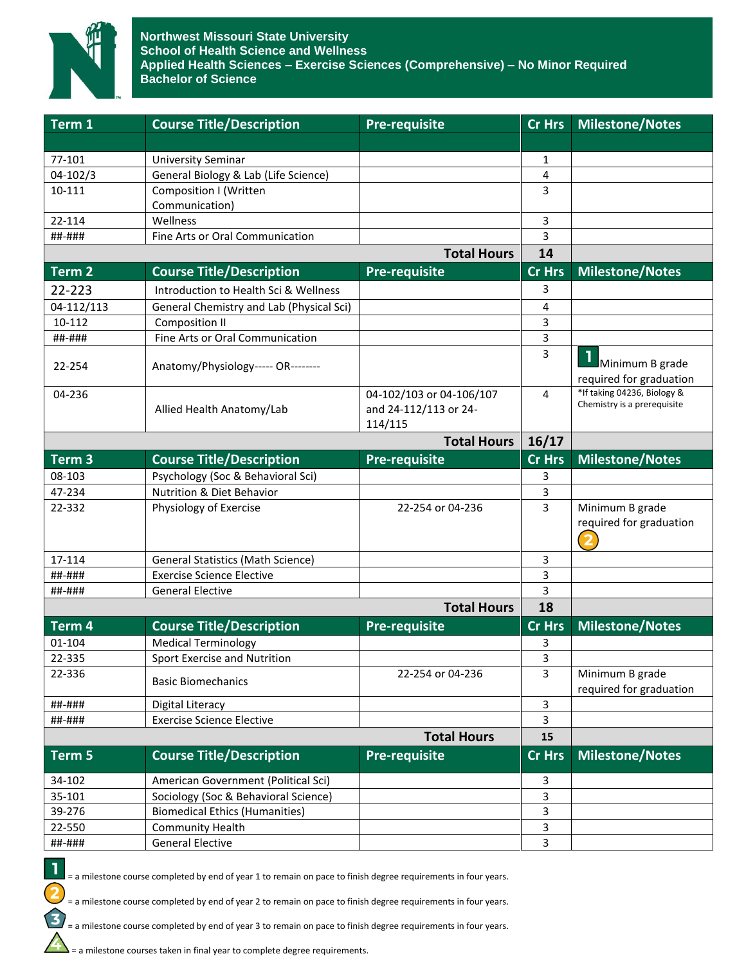

| Term 1             | <b>Course Title/Description</b>          | <b>Pre-requisite</b>     | <b>Cr Hrs</b> | <b>Milestone/Notes</b>                     |
|--------------------|------------------------------------------|--------------------------|---------------|--------------------------------------------|
|                    |                                          |                          |               |                                            |
| 77-101             | <b>University Seminar</b>                |                          | 1             |                                            |
| 04-102/3           | General Biology & Lab (Life Science)     |                          | 4             |                                            |
| 10-111             | <b>Composition I (Written</b>            |                          | 3             |                                            |
|                    | Communication)                           |                          |               |                                            |
| 22-114             | Wellness                                 |                          | 3             |                                            |
| ##-###             | Fine Arts or Oral Communication          |                          | 3             |                                            |
|                    |                                          | <b>Total Hours</b>       | 14            |                                            |
| Term <sub>2</sub>  | <b>Course Title/Description</b>          | <b>Pre-requisite</b>     | <b>Cr Hrs</b> | <b>Milestone/Notes</b>                     |
| 22-223             | Introduction to Health Sci & Wellness    |                          | 3             |                                            |
| 04-112/113         | General Chemistry and Lab (Physical Sci) |                          | 4             |                                            |
| 10-112             | <b>Composition II</b>                    |                          | 3             |                                            |
| ##-###             | Fine Arts or Oral Communication          |                          | 3             |                                            |
| 22-254             | Anatomy/Physiology----- OR--------       |                          | 3             | Minimum B grade                            |
|                    |                                          |                          |               | required for graduation                    |
| 04-236             |                                          | 04-102/103 or 04-106/107 | 4             | *If taking 04236, Biology &                |
|                    | Allied Health Anatomy/Lab                | and 24-112/113 or 24-    |               | Chemistry is a prerequisite                |
|                    |                                          | 114/115                  |               |                                            |
|                    |                                          | <b>Total Hours</b>       | 16/17         |                                            |
| Term <sub>3</sub>  | <b>Course Title/Description</b>          | <b>Pre-requisite</b>     | <b>Cr Hrs</b> | <b>Milestone/Notes</b>                     |
| 08-103             | Psychology (Soc & Behavioral Sci)        |                          | 3             |                                            |
| 47-234             | Nutrition & Diet Behavior                |                          | 3             |                                            |
| 22-332             | Physiology of Exercise                   | 22-254 or 04-236         | 3             | Minimum B grade<br>required for graduation |
| 17-114             | <b>General Statistics (Math Science)</b> |                          | 3             |                                            |
| ##-###             | <b>Exercise Science Elective</b>         |                          | 3             |                                            |
| ##-###             | <b>General Elective</b>                  |                          | 3             |                                            |
| <b>Total Hours</b> |                                          |                          | 18            |                                            |
| Term 4             | <b>Course Title/Description</b>          | <b>Pre-requisite</b>     | <b>Cr Hrs</b> | <b>Milestone/Notes</b>                     |
| 01-104             | <b>Medical Terminology</b>               |                          | 3             |                                            |
| 22-335             | Sport Exercise and Nutrition             |                          | 3             |                                            |
| 22-336             | <b>Basic Biomechanics</b>                | 22-254 or 04-236         | 3             | Minimum B grade<br>required for graduation |
| ##-###             | <b>Digital Literacy</b>                  |                          | 3             |                                            |
| ##-###             | <b>Exercise Science Elective</b>         |                          | 3             |                                            |
|                    | <b>Total Hours</b>                       |                          |               |                                            |
| Term 5             | <b>Course Title/Description</b>          | Pre-requisite            | <b>Cr Hrs</b> | <b>Milestone/Notes</b>                     |
| 34-102             | American Government (Political Sci)      |                          | 3             |                                            |
| 35-101             | Sociology (Soc & Behavioral Science)     |                          | 3             |                                            |
| 39-276             | <b>Biomedical Ethics (Humanities)</b>    |                          | 3             |                                            |
| 22-550             | <b>Community Health</b>                  |                          | 3             |                                            |
| ##-###             | <b>General Elective</b>                  |                          | 3             |                                            |

1

 $\overline{\mathbf{c}}$ 

 $\mathbf{E}$ 

 $\Delta$ 

= a milestone course completed by end of year 1 to remain on pace to finish degree requirements in four years.

= a milestone course completed by end of year 2 to remain on pace to finish degree requirements in four years.

= a milestone course completed by end of year 3 to remain on pace to finish degree requirements in four years.

= a milestone courses taken in final year to complete degree requirements.